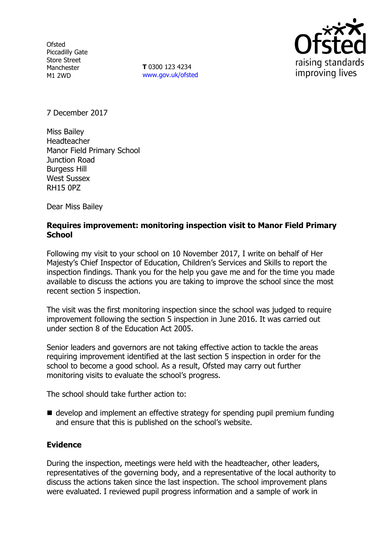**Ofsted** Piccadilly Gate Store Street Manchester M1 2WD

**T** 0300 123 4234 www.gov.uk/ofsted



7 December 2017

Miss Bailey Headteacher Manor Field Primary School Junction Road Burgess Hill West Sussex RH15 0PZ

Dear Miss Bailey

### **Requires improvement: monitoring inspection visit to Manor Field Primary School**

Following my visit to your school on 10 November 2017, I write on behalf of Her Majesty's Chief Inspector of Education, Children's Services and Skills to report the inspection findings. Thank you for the help you gave me and for the time you made available to discuss the actions you are taking to improve the school since the most recent section 5 inspection.

The visit was the first monitoring inspection since the school was judged to require improvement following the section 5 inspection in June 2016. It was carried out under section 8 of the Education Act 2005.

Senior leaders and governors are not taking effective action to tackle the areas requiring improvement identified at the last section 5 inspection in order for the school to become a good school. As a result, Ofsted may carry out further monitoring visits to evaluate the school's progress.

The school should take further action to:

■ develop and implement an effective strategy for spending pupil premium funding and ensure that this is published on the school's website.

## **Evidence**

During the inspection, meetings were held with the headteacher, other leaders, representatives of the governing body, and a representative of the local authority to discuss the actions taken since the last inspection. The school improvement plans were evaluated. I reviewed pupil progress information and a sample of work in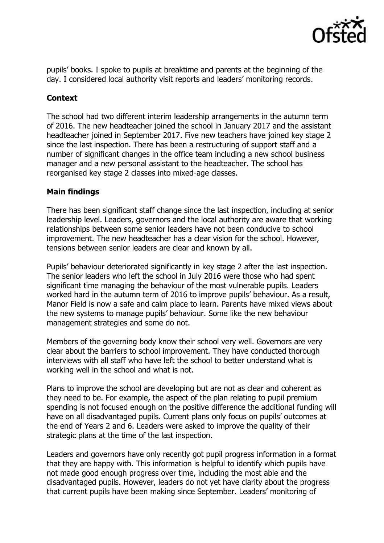

pupils' books. I spoke to pupils at breaktime and parents at the beginning of the day. I considered local authority visit reports and leaders' monitoring records.

# **Context**

The school had two different interim leadership arrangements in the autumn term of 2016. The new headteacher joined the school in January 2017 and the assistant headteacher joined in September 2017. Five new teachers have joined key stage 2 since the last inspection. There has been a restructuring of support staff and a number of significant changes in the office team including a new school business manager and a new personal assistant to the headteacher. The school has reorganised key stage 2 classes into mixed-age classes.

## **Main findings**

There has been significant staff change since the last inspection, including at senior leadership level. Leaders, governors and the local authority are aware that working relationships between some senior leaders have not been conducive to school improvement. The new headteacher has a clear vision for the school. However, tensions between senior leaders are clear and known by all.

Pupils' behaviour deteriorated significantly in key stage 2 after the last inspection. The senior leaders who left the school in July 2016 were those who had spent significant time managing the behaviour of the most vulnerable pupils. Leaders worked hard in the autumn term of 2016 to improve pupils' behaviour. As a result, Manor Field is now a safe and calm place to learn. Parents have mixed views about the new systems to manage pupils' behaviour. Some like the new behaviour management strategies and some do not.

Members of the governing body know their school very well. Governors are very clear about the barriers to school improvement. They have conducted thorough interviews with all staff who have left the school to better understand what is working well in the school and what is not.

Plans to improve the school are developing but are not as clear and coherent as they need to be. For example, the aspect of the plan relating to pupil premium spending is not focused enough on the positive difference the additional funding will have on all disadvantaged pupils. Current plans only focus on pupils' outcomes at the end of Years 2 and 6. Leaders were asked to improve the quality of their strategic plans at the time of the last inspection.

Leaders and governors have only recently got pupil progress information in a format that they are happy with. This information is helpful to identify which pupils have not made good enough progress over time, including the most able and the disadvantaged pupils. However, leaders do not yet have clarity about the progress that current pupils have been making since September. Leaders' monitoring of